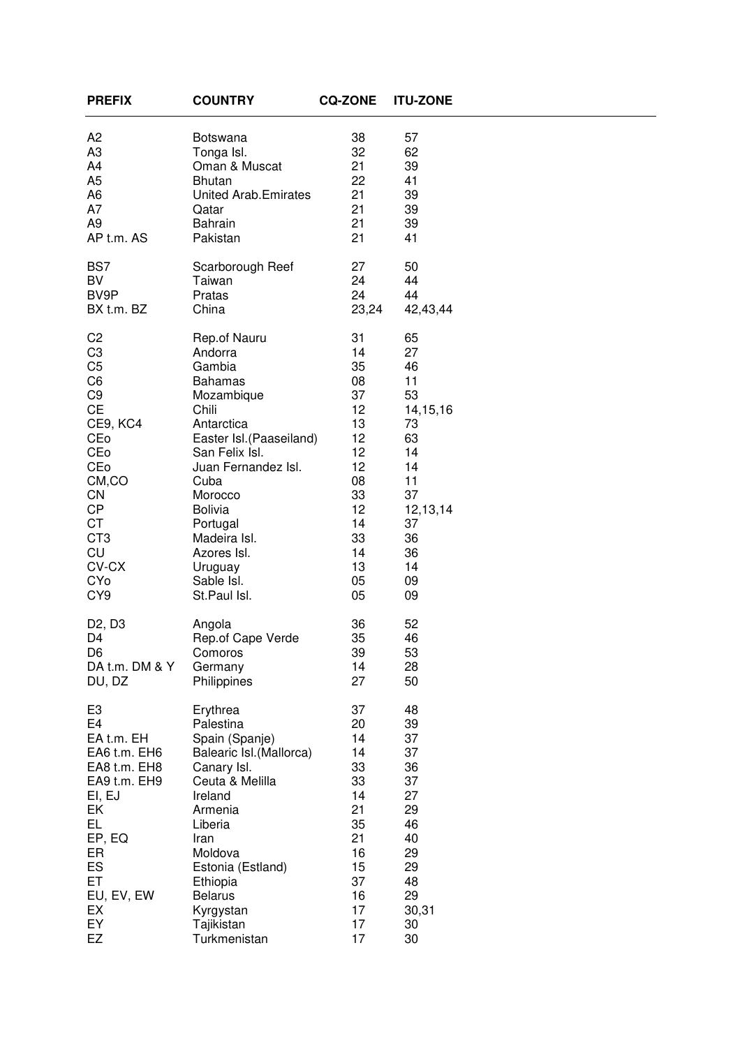| <b>PREFIX</b>                   | <b>COUNTRY</b>              | <b>CQ-ZONE</b> | <b>ITU-ZONE</b> |  |
|---------------------------------|-----------------------------|----------------|-----------------|--|
| A <sub>2</sub>                  | <b>Botswana</b>             | 38             | 57              |  |
| A <sub>3</sub>                  | Tonga Isl.                  | 32             | 62              |  |
| A4                              | Oman & Muscat               | 21             | 39              |  |
| A <sub>5</sub>                  | <b>Bhutan</b>               | 22             | 41              |  |
| A <sub>6</sub>                  | <b>United Arab.Emirates</b> | 21             | 39              |  |
| A7                              | Qatar                       | 21             | 39              |  |
| A9                              | <b>Bahrain</b>              | 21             | 39              |  |
| AP t.m. AS                      | Pakistan                    | 21             | 41              |  |
| BS7                             | Scarborough Reef            | 27             | 50              |  |
| BV                              | Taiwan                      | 24             | 44              |  |
| BV9P                            | Pratas                      | 24             | 44              |  |
| BX t.m. BZ                      | China                       | 23,24          | 42,43,44        |  |
| C <sub>2</sub>                  | Rep.of Nauru                | 31             | 65              |  |
| C <sub>3</sub>                  | Andorra                     | 14             | 27              |  |
| C <sub>5</sub>                  | Gambia                      | 35             | 46              |  |
| C <sub>6</sub>                  | <b>Bahamas</b>              | 08             | 11              |  |
| C <sub>9</sub>                  | Mozambique                  | 37             | 53              |  |
| <b>CE</b>                       | Chili                       | 12             | 14, 15, 16      |  |
| CE9, KC4                        | Antarctica                  | 13             | 73              |  |
| CEo                             | Easter Isl.(Paaseiland)     | 12             | 63              |  |
| CEo                             | San Felix Isl.              | 12             | 14              |  |
| CEo                             | Juan Fernandez Isl.         | 12             | 14              |  |
| CM,CO                           | Cuba                        | 08             | 11              |  |
| CN                              | Morocco                     | 33             | 37              |  |
| <b>CP</b>                       | <b>Bolivia</b>              | 12             | 12,13,14        |  |
| <b>CT</b>                       | Portugal                    | 14             | 37              |  |
| CT <sub>3</sub>                 | Madeira Isl.                | 33             | 36              |  |
| CU                              | Azores Isl.                 | 14             | 36              |  |
| CV-CX                           | Uruguay                     | 13             | 14              |  |
| CYo                             | Sable Isl.                  | 05             | 09              |  |
| CY <sub>9</sub>                 | St.Paul Isl.                | 05             | 09              |  |
| D <sub>2</sub> , D <sub>3</sub> | Angola                      | 36             | 52              |  |
| D4                              | Rep.of Cape Verde           | 35             | 46              |  |
| D <sub>6</sub>                  | Comoros                     | 39             | 53              |  |
| DA t.m. DM & Y                  | Germany                     | 14             | 28              |  |
| DU, DZ                          | Philippines                 | 27             | 50              |  |
| E <sub>3</sub>                  | Erythrea                    | 37             | 48              |  |
| E <sub>4</sub>                  | Palestina                   | 20             | 39              |  |
| EA t.m. EH                      | Spain (Spanje)              | 14             | 37              |  |
| EA6 t.m. EH6                    | Balearic Isl. (Mallorca)    | 14             | 37              |  |
| EA8 t.m. EH8                    | Canary Isl.                 | 33             | 36              |  |
| EA9 t.m. EH9                    | Ceuta & Melilla             | 33             | 37              |  |
| EI, EJ                          | Ireland                     | 14             | 27              |  |
| EK                              | Armenia                     | 21             | 29              |  |
| EL.                             | Liberia                     | 35             | 46              |  |
| EP, EQ                          | Iran                        | 21             | 40              |  |
| ER                              | Moldova                     | 16             | 29              |  |
| ES                              | Estonia (Estland)           | 15             | 29              |  |
| ET                              | Ethiopia                    | 37             | 48              |  |
| EU, EV, EW                      | <b>Belarus</b>              | 16             | 29              |  |
| EX                              | Kyrgystan                   | 17             | 30,31           |  |
| EY                              | Tajikistan                  | 17             | 30              |  |
| EZ                              | Turkmenistan                | 17             | 30              |  |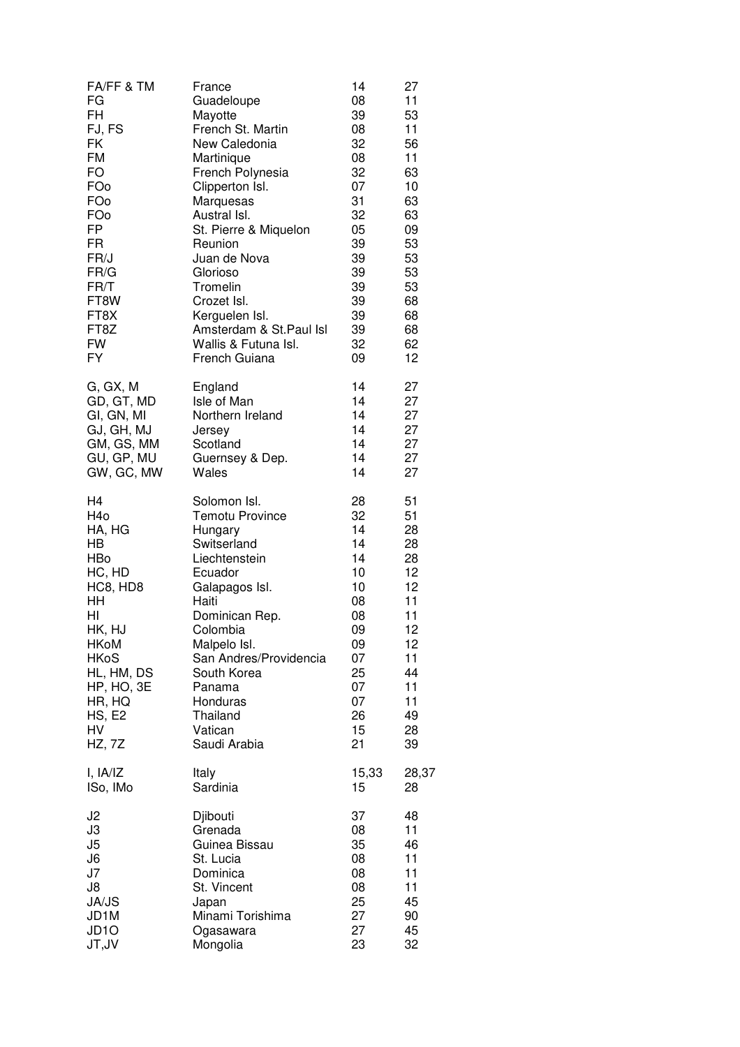| FA/FF & TM        | France                  | 14    | 27    |
|-------------------|-------------------------|-------|-------|
| FG                | Guadeloupe              | 08    | 11    |
| <b>FH</b>         | Mayotte                 | 39    | 53    |
| FJ, FS            | French St. Martin       | 08    | 11    |
| FK                | New Caledonia           | 32    | 56    |
| <b>FM</b>         | Martinique              | 08    | 11    |
| <b>FO</b>         | French Polynesia        | 32    | 63    |
| FOo               | Clipperton Isl.         | 07    | 10    |
| FOo               | Marquesas               | 31    | 63    |
| FOo               | Austral Isl.            | 32    | 63    |
| FP                | St. Pierre & Miquelon   | 05    | 09    |
| <b>FR</b>         | Reunion                 | 39    | 53    |
| FR/J              | Juan de Nova            | 39    | 53    |
| FR/G              | Glorioso                | 39    | 53    |
| FR/T              | Tromelin                | 39    | 53    |
| FT8W              | Crozet Isl.             | 39    | 68    |
| FT8X              | Kerguelen Isl.          | 39    | 68    |
| FT8Z              | Amsterdam & St.Paul Isl | 39    | 68    |
| <b>FW</b>         | Wallis & Futuna Isl.    | 32    | 62    |
| <b>FY</b>         | French Guiana           | 09    | 12    |
| G, GX, M          | England                 | 14    | 27    |
| GD, GT, MD        | Isle of Man             | 14    | 27    |
| GI, GN, MI        | Northern Ireland        | 14    | 27    |
| GJ, GH, MJ        | Jersey                  | 14    | 27    |
| GM, GS, MM        | Scotland                | 14    | 27    |
| GU, GP, MU        | Guernsey & Dep.         | 14    | 27    |
| GW, GC, MW        | Wales                   | 14    | 27    |
| H4                | Solomon Isl.            | 28    | 51    |
| H <sub>40</sub>   | <b>Temotu Province</b>  | 32    | 51    |
| HA, HG            | Hungary                 | 14    | 28    |
| HВ                | Switserland             | 14    | 28    |
| <b>HBo</b>        | Liechtenstein           | 14    | 28    |
| HC, HD            | Ecuador                 | 10    | 12    |
| HC8, HD8          | Galapagos Isl.          | 10    | 12    |
| HH                | Haiti                   | 08    | 11    |
| HI                | Dominican Rep.          | 08    | 11    |
| HK, HJ            | Colombia                | 09    | 12    |
| <b>HKoM</b>       | Malpelo Isl.            | 09    | 12    |
| <b>HKoS</b>       | San Andres/Providencia  | 07    | 11    |
| HL, HM, DS        | South Korea             | 25    | 44    |
| HP, HO, 3E        | Panama                  | 07    | 11    |
| HR, HQ            | Honduras                | 07    | 11    |
| HS, E2            | Thailand                | 26    | 49    |
| <b>HV</b>         | Vatican                 | 15    | 28    |
| HZ, 7Z            | Saudi Arabia            | 21    | 39    |
| I, IA/IZ          | Italy                   | 15,33 | 28,37 |
| ISo, IMo          | Sardinia                | 15    | 28    |
| J <sub>2</sub>    | Djibouti                | 37    | 48    |
| J3                | Grenada                 | 08    | 11    |
| J5                | Guinea Bissau           | 35    | 46    |
| J6                | St. Lucia               | 08    | 11    |
| J7                | Dominica                | 08    | 11    |
| J8                | St. Vincent             | 08    | 11    |
| JA/JS             | Japan                   | 25    | 45    |
| JD1M              | Minami Torishima        | 27    | 90    |
| JD <sub>1</sub> O | Ogasawara               | 27    | 45    |
| JT,JV             | Mongolia                | 23    | 32    |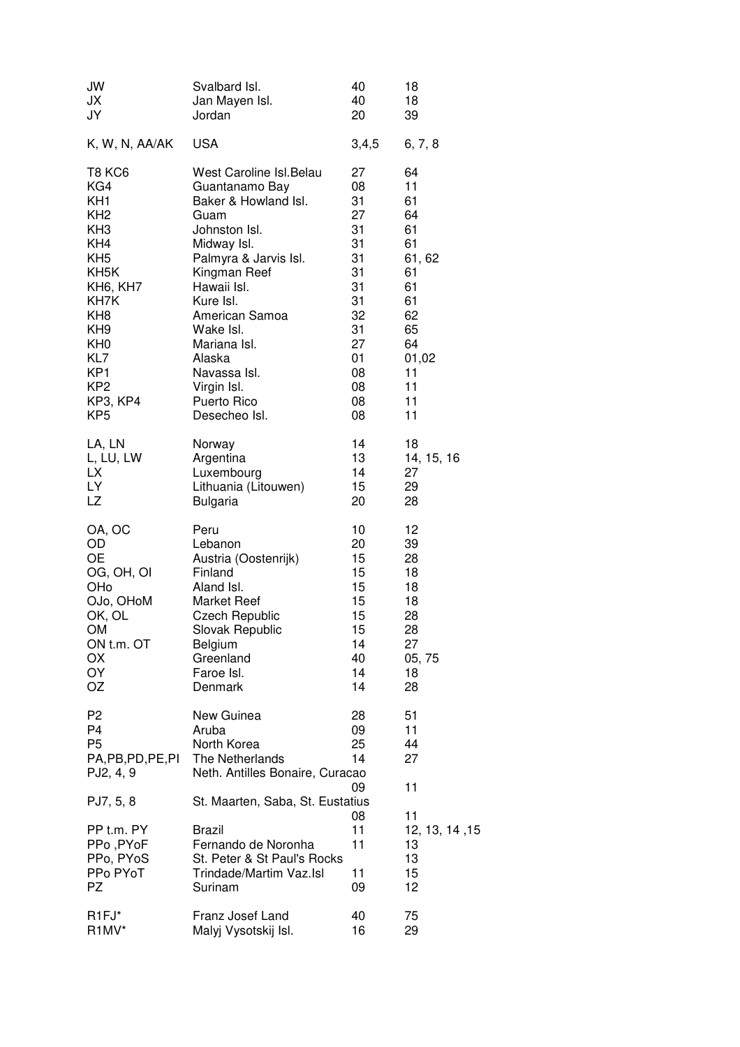| JW                                                                                | Svalbard Isl.                                                                                             | 40                         | 18                                           |
|-----------------------------------------------------------------------------------|-----------------------------------------------------------------------------------------------------------|----------------------------|----------------------------------------------|
| JХ                                                                                | Jan Mayen Isl.                                                                                            | 40                         | 18                                           |
| JY                                                                                | Jordan                                                                                                    | 20                         | 39                                           |
| K, W, N, AA/AK                                                                    | <b>USA</b>                                                                                                | 3,4,5                      | 6, 7, 8                                      |
| <b>T8 KC6</b>                                                                     | West Caroline Isl. Belau                                                                                  | 27                         | 64                                           |
| KG4                                                                               | Guantanamo Bay                                                                                            | 08                         | 11                                           |
| KH <sub>1</sub>                                                                   | Baker & Howland Isl.                                                                                      | 31                         | 61                                           |
| KH <sub>2</sub>                                                                   | Guam                                                                                                      | 27                         | 64                                           |
| KH <sub>3</sub>                                                                   | Johnston Isl.                                                                                             | 31                         | 61                                           |
| KH4                                                                               | Midway Isl.                                                                                               | 31                         | 61                                           |
| KH <sub>5</sub>                                                                   | Palmyra & Jarvis Isl.                                                                                     | 31                         | 61, 62                                       |
| KH <sub>5</sub> K                                                                 | Kingman Reef                                                                                              | 31                         | 61                                           |
| KH6, KH7                                                                          | Hawaii Isl.                                                                                               | 31                         | 61                                           |
| KH7K                                                                              | Kure Isl.                                                                                                 | 31                         | 61                                           |
| KH <sub>8</sub>                                                                   | American Samoa                                                                                            | 32                         | 62                                           |
| KH <sub>9</sub>                                                                   | Wake Isl.                                                                                                 | 31                         | 65                                           |
| KH <sub>0</sub>                                                                   | Mariana Isl.                                                                                              | 27                         | 64                                           |
| KL7                                                                               | Alaska                                                                                                    | 01                         | 01,02                                        |
| KP <sub>1</sub>                                                                   | Navassa Isl.                                                                                              | 08                         | 11                                           |
| KP <sub>2</sub>                                                                   | Virgin Isl.                                                                                               | 08                         | 11                                           |
| KP3, KP4                                                                          | Puerto Rico                                                                                               | 08                         | 11                                           |
| KP <sub>5</sub>                                                                   | Desecheo Isl.                                                                                             | 08                         | 11                                           |
| LA, LN                                                                            | Norway                                                                                                    | 14                         | 18                                           |
| L, LU, LW                                                                         | Argentina                                                                                                 | 13                         | 14, 15, 16                                   |
| LX                                                                                | Luxembourg                                                                                                | 14                         | 27                                           |
| LY                                                                                | Lithuania (Litouwen)                                                                                      | 15                         | 29                                           |
| LZ                                                                                | <b>Bulgaria</b>                                                                                           | 20                         | 28                                           |
| OA, OC                                                                            | Peru                                                                                                      | 10                         | 12                                           |
| OD                                                                                | Lebanon                                                                                                   | 20                         | 39                                           |
| <b>OE</b>                                                                         | Austria (Oostenrijk)                                                                                      | 15                         | 28                                           |
| OG, OH, OI                                                                        | Finland                                                                                                   | 15                         | 18                                           |
| OHo                                                                               | Aland Isl.                                                                                                | 15                         | 18                                           |
| OJo, OHoM                                                                         | <b>Market Reef</b>                                                                                        | 15                         | 18                                           |
| OK, OL                                                                            | Czech Republic                                                                                            | 15                         | 28                                           |
| <b>OM</b>                                                                         | Slovak Republic                                                                                           | 15                         | 28                                           |
| ON t.m. OT                                                                        | Belgium                                                                                                   | 14                         | 27                                           |
| OX                                                                                | Greenland                                                                                                 | 40                         | 05, 75                                       |
| ΟY                                                                                | Faroe Isl.                                                                                                | 14                         | 18                                           |
| OZ                                                                                | Denmark                                                                                                   | 14                         | 28                                           |
| P <sub>2</sub><br>P <sub>4</sub><br>P <sub>5</sub><br>PA,PB,PD,PE,PI<br>PJ2, 4, 9 | New Guinea<br>Aruba<br>North Korea<br>The Netherlands<br>Neth. Antilles Bonaire, Curacao                  | 28<br>09<br>25<br>14       | 51<br>11<br>44<br>27                         |
| PJ7, 5, 8                                                                         | St. Maarten, Saba, St. Eustatius                                                                          | 09                         | 11                                           |
| PP t.m. PY<br>PPo, PYoF<br>PPo, PYoS<br>PPo PYoT<br><b>PZ</b>                     | <b>Brazil</b><br>Fernando de Noronha<br>St. Peter & St Paul's Rocks<br>Trindade/Martim Vaz.Isl<br>Surinam | 08<br>11<br>11<br>11<br>09 | 11<br>12, 13, 14, 15<br>13<br>13<br>15<br>12 |
| R <sub>1FJ</sub> *                                                                | Franz Josef Land                                                                                          | 40                         | 75                                           |
| R <sub>1</sub> MV*                                                                | Malyj Vysotskij Isl.                                                                                      | 16                         | 29                                           |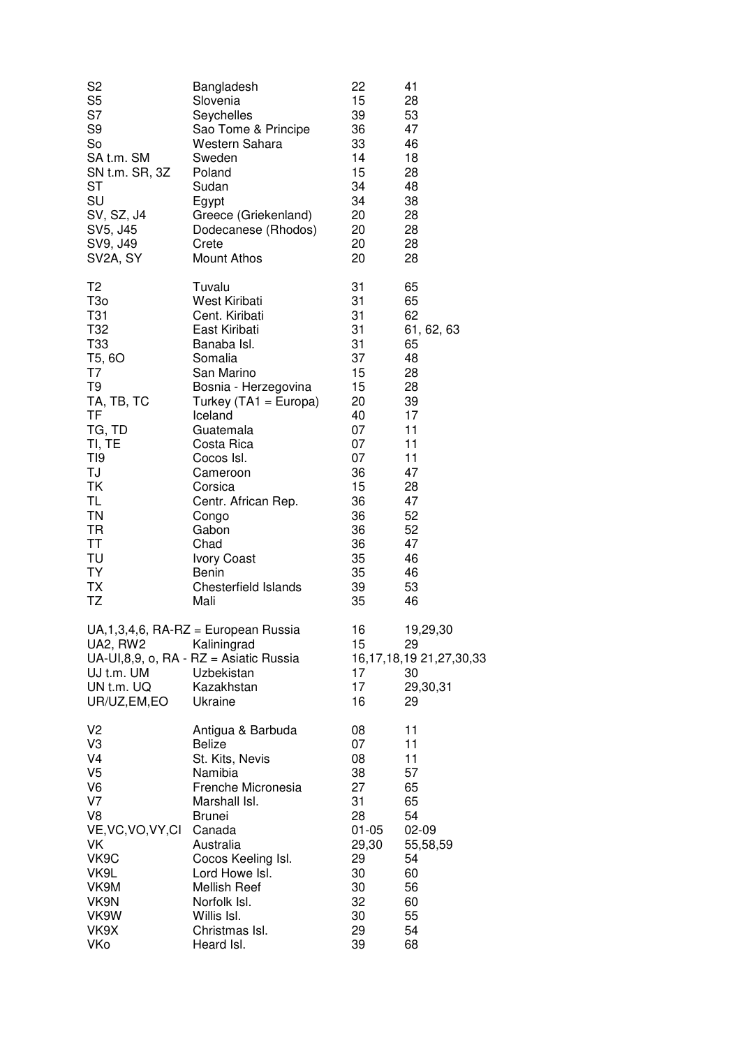| S <sub>2</sub>                                      | Bangladesh                                                                                                                              | 22                         | 41                                                                      |
|-----------------------------------------------------|-----------------------------------------------------------------------------------------------------------------------------------------|----------------------------|-------------------------------------------------------------------------|
| S <sub>5</sub>                                      | Slovenia                                                                                                                                | 15                         | 28                                                                      |
| S7                                                  | Seychelles                                                                                                                              | 39                         | 53                                                                      |
| S <sub>9</sub>                                      | Sao Tome & Principe                                                                                                                     | 36                         | 47                                                                      |
| So                                                  | Western Sahara                                                                                                                          | 33                         | 46                                                                      |
| SA t.m. SM                                          | Sweden                                                                                                                                  | 14                         | 18                                                                      |
| SN t.m. SR, 3Z                                      | Poland                                                                                                                                  | 15                         | 28                                                                      |
| <b>ST</b>                                           | Sudan                                                                                                                                   | 34                         | 48                                                                      |
| SU                                                  | Egypt                                                                                                                                   | 34                         | 38                                                                      |
| SV, SZ, J4                                          | Greece (Griekenland)                                                                                                                    | 20                         | 28                                                                      |
| SV5, J45                                            | Dodecanese (Rhodos)                                                                                                                     | 20                         | 28                                                                      |
| SV9, J49                                            | Crete                                                                                                                                   | 20                         | 28                                                                      |
| SV2A, SY                                            | <b>Mount Athos</b>                                                                                                                      | 20                         | 28                                                                      |
| T <sub>2</sub>                                      | Tuvalu                                                                                                                                  | 31                         | 65                                                                      |
| T <sub>30</sub>                                     | West Kiribati                                                                                                                           | 31                         | 65                                                                      |
| T31                                                 | Cent. Kiribati                                                                                                                          | 31                         | 62                                                                      |
| T32                                                 | East Kiribati                                                                                                                           | 31                         | 61, 62, 63                                                              |
| T33                                                 | Banaba Isl.                                                                                                                             | 31                         | 65                                                                      |
| T5, 6O                                              | Somalia                                                                                                                                 | 37                         | 48                                                                      |
| T7                                                  | San Marino                                                                                                                              | 15                         | 28                                                                      |
| T <sub>9</sub>                                      | Bosnia - Herzegovina                                                                                                                    | 15                         | 28                                                                      |
| TA, TB, TC                                          | Turkey (TA1 = Europa)                                                                                                                   | 20                         | 39                                                                      |
| <b>TF</b>                                           | Iceland                                                                                                                                 | 40                         | 17                                                                      |
| TG, TD                                              | Guatemala                                                                                                                               | 07                         | 11                                                                      |
| TI, TE                                              | Costa Rica                                                                                                                              | 07                         | 11                                                                      |
| T <sub>19</sub>                                     | Cocos Isl.                                                                                                                              | 07                         | 11                                                                      |
| TJ                                                  | Cameroon                                                                                                                                | 36                         | 47                                                                      |
| TK                                                  | Corsica                                                                                                                                 | 15                         | 28                                                                      |
| TL                                                  | Centr. African Rep.                                                                                                                     | 36                         | 47                                                                      |
| <b>TN</b>                                           | Congo                                                                                                                                   | 36                         | 52                                                                      |
| <b>TR</b>                                           | Gabon                                                                                                                                   | 36                         | 52                                                                      |
| <b>TT</b>                                           | Chad                                                                                                                                    | 36                         | 47                                                                      |
| TU                                                  | <b>Ivory Coast</b>                                                                                                                      | 35                         | 46                                                                      |
| <b>TY</b>                                           | Benin                                                                                                                                   | 35                         | 46                                                                      |
| <b>TX</b>                                           | <b>Chesterfield Islands</b>                                                                                                             | 39                         | 53                                                                      |
| TZ                                                  | Mali                                                                                                                                    | 35                         | 46                                                                      |
| UA2, RW2<br>UJ t.m. UM<br>UN t.m. UQ<br>UR/UZ,EM,EO | UA, 1, 3, 4, 6, RA-RZ = European Russia<br>Kaliningrad<br>UA-UI,8,9, o, RA - RZ = Asiatic Russia<br>Uzbekistan<br>Kazakhstan<br>Ukraine | 16<br>15<br>17<br>17<br>16 | 19,29,30<br>29<br>16, 17, 18, 19 21, 27, 30, 33<br>30<br>29,30,31<br>29 |
| V <sub>2</sub>                                      | Antigua & Barbuda                                                                                                                       | 08                         | 11                                                                      |
| V <sub>3</sub>                                      | Belize                                                                                                                                  | 07                         | 11                                                                      |
| V <sub>4</sub>                                      | St. Kits, Nevis                                                                                                                         | 08                         | 11                                                                      |
| V <sub>5</sub>                                      | Namibia                                                                                                                                 | 38                         | 57                                                                      |
| V <sub>6</sub>                                      | Frenche Micronesia                                                                                                                      | 27                         | 65                                                                      |
| V7                                                  | Marshall Isl.                                                                                                                           | 31                         | 65                                                                      |
| V <sub>8</sub>                                      | <b>Brunei</b>                                                                                                                           | 28                         | 54                                                                      |
| VE, VC, VO, VY, CI                                  | Canada                                                                                                                                  | 01-05                      | $02-09$                                                                 |
| VK                                                  | Australia                                                                                                                               | 29,30                      | 55,58,59                                                                |
| VK9C                                                | Cocos Keeling Isl.                                                                                                                      | 29                         | 54                                                                      |
| VK9L                                                | Lord Howe Isl.                                                                                                                          | 30                         | 60                                                                      |
| VK9M                                                | <b>Mellish Reef</b>                                                                                                                     | 30                         | 56                                                                      |
| VK9N                                                | Norfolk Isl.                                                                                                                            | 32                         | 60                                                                      |
| VK9W                                                | Willis Isl.                                                                                                                             | 30                         | 55                                                                      |
| VK9X                                                | Christmas Isl.                                                                                                                          | 29                         | 54                                                                      |
| VKo                                                 | Heard Isl.                                                                                                                              | 39                         | 68                                                                      |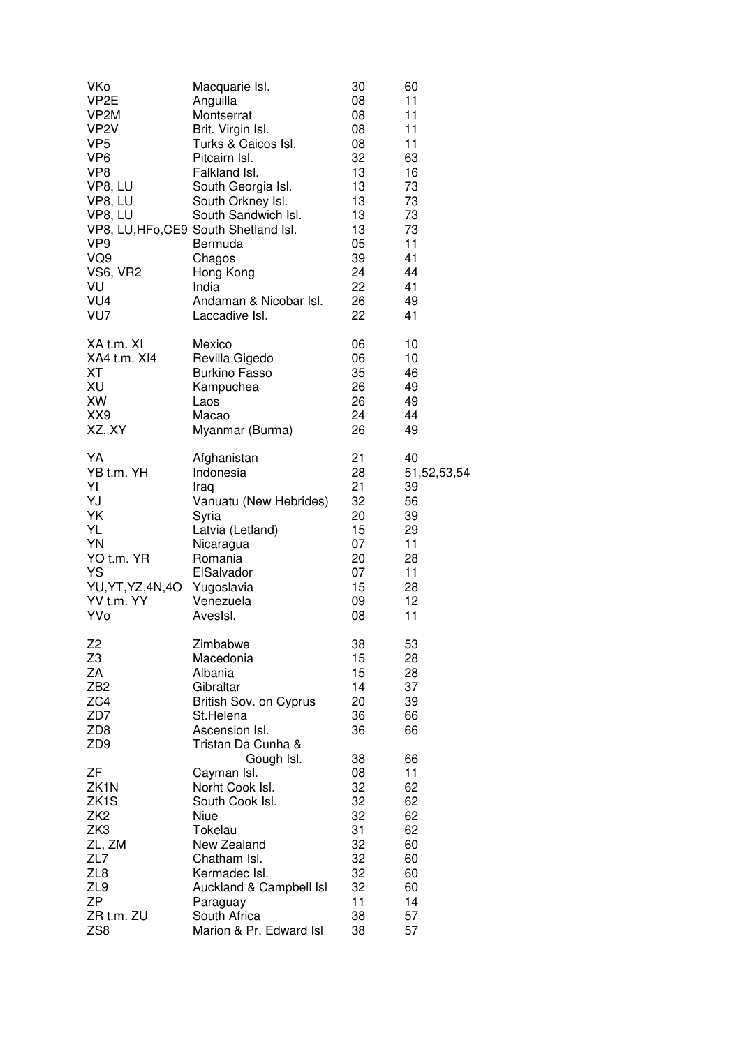| VKo<br>VP <sub>2</sub> E<br>VP2M<br>VP <sub>2</sub> V<br>VP <sub>5</sub><br>VP <sub>6</sub><br>VP8<br>VP8, LU<br>VP8, LU<br>VP8, LU<br>VP <sub>9</sub><br>VQ9<br><b>VS6, VR2</b><br>VU<br>VU4<br>VU7 | Macquarie Isl.<br>Anguilla<br>Montserrat<br>Brit. Virgin Isl.<br>Turks & Caicos Isl.<br>Pitcairn Isl.<br>Falkland Isl.<br>South Georgia Isl.<br>South Orkney Isl.<br>South Sandwich Isl.<br>VP8, LU, HFo, CE9 South Shetland Isl.<br>Bermuda<br>Chagos<br>Hong Kong<br>India<br>Andaman & Nicobar Isl.<br>Laccadive Isl. | 30<br>08<br>08<br>08<br>08<br>32<br>13<br>13<br>13<br>13<br>13<br>05<br>39<br>24<br>22<br>26<br>22 | 60<br>11<br>11<br>11<br>11<br>63<br>16<br>73<br>73<br>73<br>73<br>11<br>41<br>44<br>41<br>49<br>41 |
|------------------------------------------------------------------------------------------------------------------------------------------------------------------------------------------------------|--------------------------------------------------------------------------------------------------------------------------------------------------------------------------------------------------------------------------------------------------------------------------------------------------------------------------|----------------------------------------------------------------------------------------------------|----------------------------------------------------------------------------------------------------|
| XA t.m. XI                                                                                                                                                                                           | Mexico                                                                                                                                                                                                                                                                                                                   | 06                                                                                                 | 10                                                                                                 |
| XA4 t.m. XI4                                                                                                                                                                                         | Revilla Gigedo                                                                                                                                                                                                                                                                                                           | 06                                                                                                 | 10                                                                                                 |
| <b>XT</b>                                                                                                                                                                                            | <b>Burkino Fasso</b>                                                                                                                                                                                                                                                                                                     | 35                                                                                                 | 46                                                                                                 |
| XU                                                                                                                                                                                                   | Kampuchea                                                                                                                                                                                                                                                                                                                | 26                                                                                                 | 49                                                                                                 |
| XW                                                                                                                                                                                                   | Laos                                                                                                                                                                                                                                                                                                                     | 26                                                                                                 | 49                                                                                                 |
| XX9                                                                                                                                                                                                  | Macao                                                                                                                                                                                                                                                                                                                    | 24                                                                                                 | 44                                                                                                 |
| XZ, XY                                                                                                                                                                                               | Myanmar (Burma)                                                                                                                                                                                                                                                                                                          | 26                                                                                                 | 49                                                                                                 |
| YA                                                                                                                                                                                                   | Afghanistan                                                                                                                                                                                                                                                                                                              | 21                                                                                                 | 40                                                                                                 |
| YB <sub>t.m.</sub> YH                                                                                                                                                                                | Indonesia                                                                                                                                                                                                                                                                                                                | 28                                                                                                 | 51,52,53,54                                                                                        |
| YI                                                                                                                                                                                                   | Iraq                                                                                                                                                                                                                                                                                                                     | 21                                                                                                 | 39                                                                                                 |
| YJ                                                                                                                                                                                                   | Vanuatu (New Hebrides)                                                                                                                                                                                                                                                                                                   | 32                                                                                                 | 56                                                                                                 |
| YK                                                                                                                                                                                                   | Syria                                                                                                                                                                                                                                                                                                                    | 20                                                                                                 | 39                                                                                                 |
| YL                                                                                                                                                                                                   | Latvia (Letland)                                                                                                                                                                                                                                                                                                         | 15                                                                                                 | 29                                                                                                 |
| YN                                                                                                                                                                                                   | Nicaragua                                                                                                                                                                                                                                                                                                                | 07                                                                                                 | 11                                                                                                 |
| YO t.m. YR                                                                                                                                                                                           | Romania                                                                                                                                                                                                                                                                                                                  | 20                                                                                                 | 28                                                                                                 |
| <b>YS</b>                                                                                                                                                                                            | ElSalvador                                                                                                                                                                                                                                                                                                               | 07                                                                                                 | 11                                                                                                 |
| YU, YT, YZ, 4N, 4O                                                                                                                                                                                   | Yugoslavia                                                                                                                                                                                                                                                                                                               | 15                                                                                                 | 28                                                                                                 |
| YV <sub>t.m.</sub> YY                                                                                                                                                                                | Venezuela                                                                                                                                                                                                                                                                                                                | 09                                                                                                 | 12                                                                                                 |
| YVo                                                                                                                                                                                                  | AvesIsl.                                                                                                                                                                                                                                                                                                                 | 08                                                                                                 | 11                                                                                                 |
| Z <sub>2</sub><br>Z <sub>3</sub><br>ZA<br>ZB <sub>2</sub><br>ZC4<br>ZD7<br>ZD <sub>8</sub><br>ZD <sub>9</sub>                                                                                        | Zimbabwe<br>Macedonia<br>Albania<br>Gibraltar<br>British Sov. on Cyprus<br>St.Helena<br>Ascension Isl.<br>Tristan Da Cunha &<br>Gough Isl.                                                                                                                                                                               | 38<br>15<br>15<br>14<br>20<br>36<br>36<br>38                                                       | 53<br>28<br>28<br>37<br>39<br>66<br>66<br>66                                                       |
| ZF                                                                                                                                                                                                   | Cayman Isl.                                                                                                                                                                                                                                                                                                              | 08                                                                                                 | 11                                                                                                 |
| ZK1N                                                                                                                                                                                                 | Norht Cook Isl.                                                                                                                                                                                                                                                                                                          | 32                                                                                                 | 62                                                                                                 |
| ZK <sub>1</sub> S                                                                                                                                                                                    | South Cook Isl.                                                                                                                                                                                                                                                                                                          | 32                                                                                                 | 62                                                                                                 |
| ZK <sub>2</sub>                                                                                                                                                                                      | Niue                                                                                                                                                                                                                                                                                                                     | 32                                                                                                 | 62                                                                                                 |
| ZK3                                                                                                                                                                                                  | Tokelau                                                                                                                                                                                                                                                                                                                  | 31                                                                                                 | 62                                                                                                 |
| ZL, ZM                                                                                                                                                                                               | New Zealand                                                                                                                                                                                                                                                                                                              | 32                                                                                                 | 60                                                                                                 |
| ZL7                                                                                                                                                                                                  | Chatham Isl.                                                                                                                                                                                                                                                                                                             | 32                                                                                                 | 60                                                                                                 |
| ZL8                                                                                                                                                                                                  | Kermadec Isl.                                                                                                                                                                                                                                                                                                            | 32                                                                                                 | 60                                                                                                 |
| ZL9                                                                                                                                                                                                  | Auckland & Campbell Isl                                                                                                                                                                                                                                                                                                  | 32                                                                                                 | 60                                                                                                 |
| <b>ZP</b>                                                                                                                                                                                            | Paraguay                                                                                                                                                                                                                                                                                                                 | 11                                                                                                 | 14                                                                                                 |
| ZR t.m. ZU                                                                                                                                                                                           | South Africa                                                                                                                                                                                                                                                                                                             | 38                                                                                                 | 57                                                                                                 |
| ZS <sub>8</sub>                                                                                                                                                                                      | Marion & Pr. Edward Isl                                                                                                                                                                                                                                                                                                  | 38                                                                                                 | 57                                                                                                 |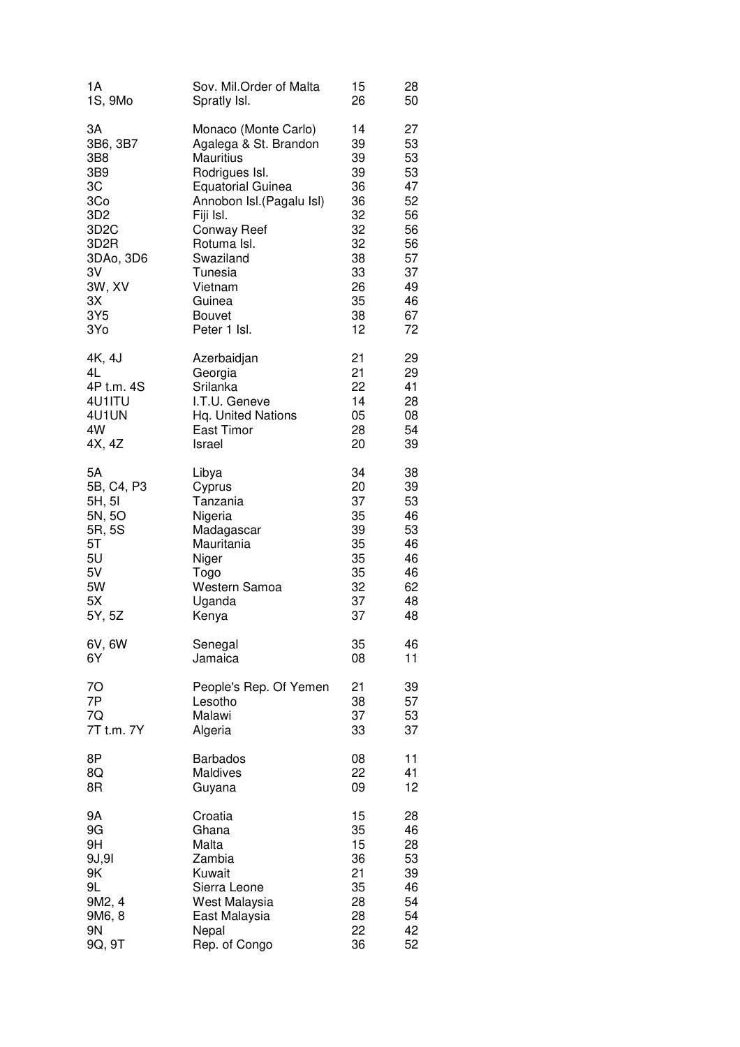| 1А                | Sov. Mil.Order of Malta   | 15 | 28 |
|-------------------|---------------------------|----|----|
| 1S, 9Mo           | Spratly Isl.              | 26 | 50 |
| 3A                | Monaco (Monte Carlo)      | 14 | 27 |
| 3B6, 3B7          | Agalega & St. Brandon     | 39 | 53 |
| 3B8               | <b>Mauritius</b>          | 39 | 53 |
| 3B9               | Rodrigues Isl.            | 39 | 53 |
| 3C                | <b>Equatorial Guinea</b>  | 36 | 47 |
| 3Co               | Annobon Isl. (Pagalu Isl) | 36 | 52 |
| 3D <sub>2</sub>   | Fiji Isl.                 | 32 | 56 |
| 3D <sub>2</sub> C | <b>Conway Reef</b>        | 32 | 56 |
| 3D <sub>2</sub> R | Rotuma Isl.               | 32 | 56 |
| 3DAo, 3D6         | Swaziland                 | 38 | 57 |
| 3V                | Tunesia                   | 33 | 37 |
| 3W, XV            | Vietnam                   | 26 | 49 |
| 3X                | Guinea                    | 35 | 46 |
| 3Y5               | <b>Bouvet</b>             | 38 | 67 |
| 3Yo               | Peter 1 Isl.              | 12 | 72 |
| 4K, 4J            | Azerbaidjan               | 21 | 29 |
| 4L                | Georgia                   | 21 | 29 |
| 4P t.m. 4S        | Srilanka                  | 22 | 41 |
| 4U1ITU            | I.T.U. Geneve             | 14 | 28 |
| 4U1UN             | Hq. United Nations        | 05 | 08 |
| 4W                | East Timor                | 28 | 54 |
| 4X, 4Z            | Israel                    | 20 | 39 |
| 5Α                | Libya                     | 34 | 38 |
| 5B, C4, P3        | Cyprus                    | 20 | 39 |
| 5H, 5I            | Tanzania                  | 37 | 53 |
| 5N, 5O            | Nigeria                   | 35 | 46 |
| 5R, 5S            | Madagascar                | 39 | 53 |
| 5T                | Mauritania                | 35 | 46 |
| 5U                | Niger                     | 35 | 46 |
| 5V                | Togo                      | 35 | 46 |
| 5W                | Western Samoa             | 32 | 62 |
| 5X                | Uganda                    | 37 | 48 |
| 5Y, 5Z            | Kenya                     | 37 | 48 |
| 6V, 6W            | Senegal                   | 35 | 46 |
| 6Y                | Jamaica                   | 08 | 11 |
| 7O                | People's Rep. Of Yemen    | 21 | 39 |
| 7P                | Lesotho                   | 38 | 57 |
| 7Q                | Malawi                    | 37 | 53 |
| 7T t.m. 7Y        | Algeria                   | 33 | 37 |
| 8P                | <b>Barbados</b>           | 08 | 11 |
| 8Q                | Maldives                  | 22 | 41 |
| 8R                | Guyana                    | 09 | 12 |
| 9A                | Croatia                   | 15 | 28 |
| 9G                | Ghana                     | 35 | 46 |
| 9H                | Malta                     | 15 | 28 |
| 9J,9I             | Zambia                    | 36 | 53 |
| 9K                | Kuwait                    | 21 | 39 |
| 9L                | Sierra Leone              | 35 | 46 |
| 9M2, 4            | West Malaysia             | 28 | 54 |
| 9M6, 8            | East Malaysia             | 28 | 54 |
| 9N                | Nepal                     | 22 | 42 |
| 9Q, 9T            | Rep. of Congo             | 36 | 52 |